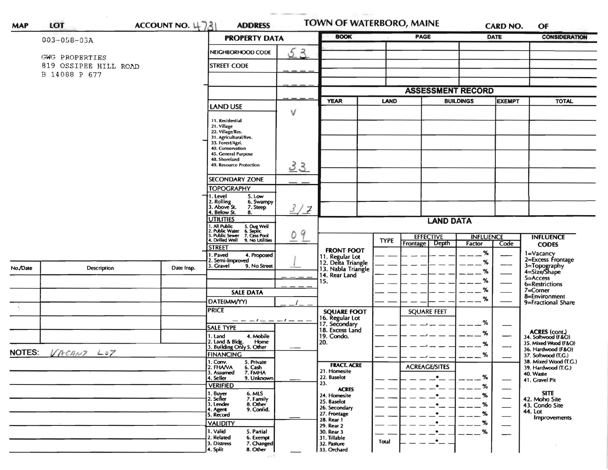|          | $003 - 058 - 03A$                       | <b>PROPERTY DATA</b> |                                                                                                                         | <b>BOOK</b> | <b>PAGE</b>                                                 |             | <b>DATE</b>                                  |                            | <b>CONSIDERATION</b> |                                              |  |
|----------|-----------------------------------------|----------------------|-------------------------------------------------------------------------------------------------------------------------|-------------|-------------------------------------------------------------|-------------|----------------------------------------------|----------------------------|----------------------|----------------------------------------------|--|
|          |                                         |                      | NEIGHBORHOOD CODE                                                                                                       | 53          |                                                             |             |                                              |                            |                      |                                              |  |
|          | GWG PROPERTIES<br>819 OSSIPEE HILL ROAD |                      | <b>STREET CODE</b>                                                                                                      |             |                                                             |             |                                              |                            |                      |                                              |  |
|          | B 14088 P 677                           |                      |                                                                                                                         |             |                                                             |             |                                              |                            |                      |                                              |  |
|          |                                         |                      |                                                                                                                         |             |                                                             |             |                                              |                            |                      |                                              |  |
|          |                                         |                      |                                                                                                                         |             | <b>YEAR</b><br><b>LAND</b>                                  |             | <b>ASSESSMENT RECORD</b><br><b>BUILDINGS</b> |                            | <b>EXEMPT</b>        | <b>TOTAL</b>                                 |  |
|          |                                         |                      | <b>LAND USE</b>                                                                                                         | $\vee$      |                                                             |             |                                              |                            |                      |                                              |  |
|          |                                         |                      | 11. Residential                                                                                                         |             |                                                             |             |                                              |                            |                      |                                              |  |
|          |                                         |                      | 21. Village<br>22. Village/Res.                                                                                         |             |                                                             |             |                                              |                            |                      |                                              |  |
|          |                                         |                      | 31. Agricultural/Res.<br>33. Forest/Agri.                                                                               |             |                                                             |             |                                              |                            |                      |                                              |  |
|          |                                         |                      | 40. Conservation<br>45. General Purpose                                                                                 |             |                                                             |             |                                              |                            |                      |                                              |  |
|          |                                         |                      | 48. Shoreland<br>49. Resource Protection                                                                                | 33          |                                                             |             |                                              |                            |                      |                                              |  |
|          |                                         |                      |                                                                                                                         |             |                                                             |             |                                              |                            |                      |                                              |  |
|          |                                         |                      | <b>SECONDARY ZONE</b><br><b>TOPOGRAPHY</b>                                                                              |             |                                                             |             |                                              |                            |                      |                                              |  |
|          |                                         |                      | 1. Level<br>5. Low                                                                                                      |             |                                                             |             |                                              |                            |                      |                                              |  |
|          |                                         |                      | 2. Rolling<br>3. Above St.<br>6. Swampy<br>7. Steep                                                                     | 3/7         |                                                             |             |                                              |                            |                      |                                              |  |
|          |                                         |                      | 4. Below St.<br>8.<br>UTILITIES                                                                                         |             | <b>LAND DATA</b>                                            |             |                                              |                            |                      |                                              |  |
|          |                                         |                      | 1. All Public<br>2. Public Water<br>3. Public Sewer<br>4. Drilled Well<br>5. Dug Well<br>6. Septic<br>7. Cess Pool<br>9 |             |                                                             |             |                                              |                            |                      |                                              |  |
|          |                                         |                      | 9. No Utilities                                                                                                         | 0           |                                                             | <b>TYPE</b> | <b>EFFECTIVE</b><br>Frontage Depth           | <b>INFLUENCE</b><br>Factor | Code                 | <b>INFLUENCE</b>                             |  |
|          |                                         |                      | <b>STREET</b><br>I. Paved<br>4. Proposed                                                                                |             | <b>FRONT FOOT</b>                                           |             |                                              | $\%$                       |                      | <b>CODES</b><br>1=Vacancy                    |  |
|          |                                         |                      | 2. Semi-Improved                                                                                                        |             | 11. Regular Lot<br>12. Delta Triangle<br>13. Nabla Triangle |             |                                              | %                          |                      | 2=Excess Frontage                            |  |
| No./Date | Description                             | Date Insp.           | 3. Gravel<br>9. No Street                                                                                               |             | 14. Rear Land                                               |             |                                              | %                          |                      | 3=Topography<br>4=Size/Shape                 |  |
|          |                                         |                      |                                                                                                                         |             | 15.                                                         |             |                                              | %                          |                      | $5 =$ Access<br>6=Restrictions               |  |
|          |                                         |                      | <b>SALE DATA</b>                                                                                                        |             |                                                             |             |                                              | %                          |                      | 7=Corner<br>8=Environment                    |  |
|          |                                         |                      | DATE(MM/YY)                                                                                                             |             |                                                             |             |                                              | %                          |                      | 9=Fractional Share                           |  |
|          |                                         |                      | <b>PRICE</b><br>— — <i>— I</i> — — — <i>I</i> — —                                                                       |             | <b>SQUARE FOOT</b>                                          |             | <b>SQUARE FEET</b>                           |                            |                      |                                              |  |
|          |                                         |                      | <b>SALE TYPE</b>                                                                                                        |             | 16. Regular Lot<br>17. Secondary<br>18. Excess Land         |             |                                              | %                          |                      |                                              |  |
|          |                                         |                      | 4. Mobile<br>1. Land<br>2. Land & Bldg.<br>Home                                                                         |             | 19. Condo.<br>20.                                           |             |                                              | %                          |                      | ACRES (cont.)<br>34. Softwood (F&O)          |  |
|          | NOTES: VACANT LOT                       |                      | 3. Building Only 5. Other                                                                                               |             |                                                             |             |                                              | %                          |                      | 35. Mixed Wood (F&O)<br>36. Hardwood (F&O)   |  |
|          |                                         |                      | <b>FINANCING</b><br>I. Conv.<br>5. Private                                                                              |             |                                                             |             |                                              | $\%$                       |                      | 37. Softwood (T.G.)<br>38. Mixed Wood (T.G.) |  |
|          |                                         |                      | 2. FHAVA<br>6. Cash<br>7. FMHA<br>3. Assumed                                                                            |             | <b>FRACT. ACRE</b><br>21. Homesite                          |             | <b>ACREAGE/SITES</b>                         |                            |                      | 39. Hardwood (T.G.)<br>40. Waste             |  |
|          |                                         |                      | 9. Unknown<br>4. Seller<br><b>VERIFIED</b>                                                                              |             | 22. Baselot<br>23.                                          |             |                                              | %<br>%                     |                      | 41. Gravel Pit                               |  |
|          |                                         |                      | 6. MLS<br>1. Buyer<br>2. Seller                                                                                         |             | <b>ACRES</b><br>24. Homesite                                |             |                                              | %                          |                      | <b>SITE</b>                                  |  |
|          |                                         |                      | 7. Family<br>3. Lender<br>8. Other                                                                                      |             | 25. Baselot<br>26. Secondary                                |             |                                              | %                          |                      | 42. Moho Site<br>43. Condo Site              |  |
|          |                                         |                      | 9. Confid.<br>4. Agent<br>5. Record                                                                                     |             | 27. Frontage                                                |             |                                              | %                          |                      | 44. Lot<br>Improvements                      |  |
|          |                                         |                      | <b>VALIDITY</b>                                                                                                         |             | 28. Rear 1<br>29. Rear 2                                    |             |                                              | $\%$                       |                      |                                              |  |
|          |                                         |                      | 1. Valid<br>5. Partial                                                                                                  |             | 30. Rear 3                                                  |             |                                              | %                          |                      |                                              |  |
|          |                                         |                      | 2. Related<br>6. Exempt                                                                                                 |             | 31. Tillable                                                | Total       |                                              |                            |                      |                                              |  |